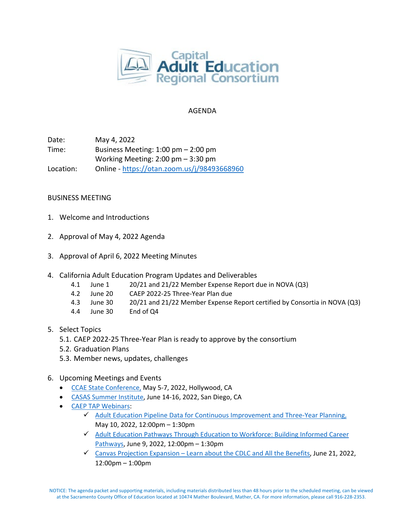

## AGENDA

Date: May 4, 2022 Time: Business Meeting: 1:00 pm – 2:00 pm Working Meeting: 2:00 pm – 3:30 pm Location: Online - <https://otan.zoom.us/j/98493668960>

## BUSINESS MEETING

- 1. Welcome and Introductions
- 2. Approval of May 4, 2022 Agenda
- 3. Approval of April 6, 2022 Meeting Minutes
- 4. California Adult Education Program Updates and Deliverables
	- 4.1 June 1 20/21 and 21/22 Member Expense Report due in NOVA (Q3)
	- 4.2 June 20 CAEP 2022-25 Three-Year Plan due
	- 4.3 June 30 20/21 and 21/22 Member Expense Report certified by Consortia in NOVA (Q3)
	- 4.4 June 30 End of Q4
- 5. Select Topics
	- 5.1. CAEP 2022-25 Three-Year Plan is ready to approve by the consortium
	- 5.2. Graduation Plans
	- 5.3. Member news, updates, challenges
- 6. Upcoming Meetings and Events
	- [CCAE State Conference,](https://www.ccaestate.org/conference-2022.html) May 5-7, 2022, Hollywood, CA
	- [CASAS Summer Institute,](https://www.casas.org/training-and-support/SI/prepare-for-2022) June 14-16, 2022, San Diego, CA
	- [CAEP TAP Webinars:](https://caladulted.org/Events)
		- $\checkmark$  [Adult Education Pipeline Data for Continuous Improvement and Three-Year Planning,](https://register.caladulted.org/Home/EventDetail/539) May 10, 2022, 12:00pm – 1:30pm
		- $\checkmark$  Adult Education Pathways Through Education to Workforce: Building Informed Career [Pathways,](https://register.caladulted.org/Home/EventDetail/538) June 9, 2022, 12:00pm – 1:30pm
		- $\checkmark$  Canvas Projection Expansion [Learn about the CDLC and All the](https://register.caladulted.org/Home/EventDetail/542) Benefits, June 21, 2022, 12:00pm – 1:00pm